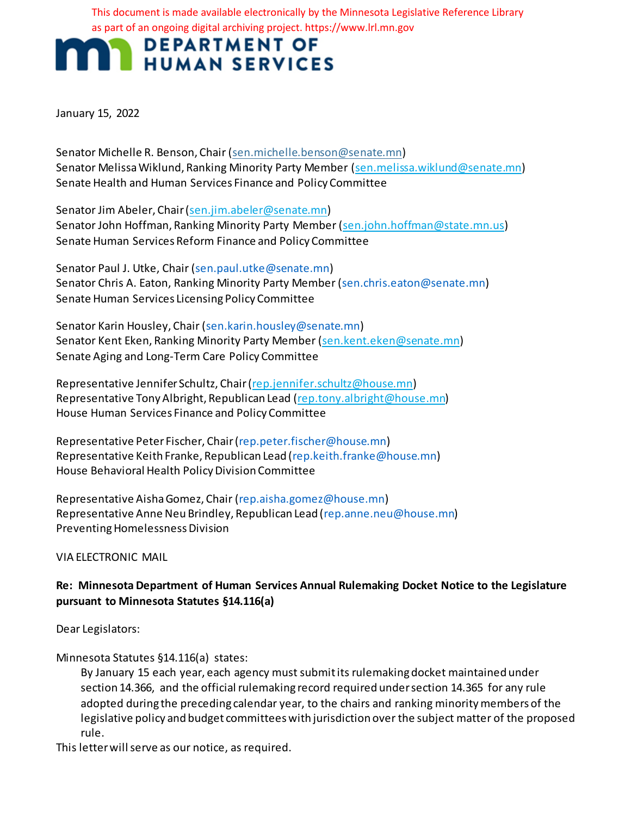This document is made available electronically by the Minnesota Legislative Reference Library as part of an ongoing digital archiving project. https://www.lrl.mn.gov

# **DEPARTMENT OF HUMAN SERVICES**

January 15, 2022

Senator Michelle R. Benson, Chair (sen.michelle.benson@senate.mn) Senator Melissa Wiklund, Ranking Minority Party Member (sen.melissa.wiklund@senate.mn) Senate Health and Human Services Finance and Policy Committee

Senator Jim Abeler, Chair (sen.jim.abeler@senate.mn) Senator John Hoffman, Ranking Minority Party Member (sen.john.hoffman@state.mn.us) Senate Human Services Reform Finance and Policy Committee

Senator Paul J. Utke, Chair (sen.paul.utke@senate.mn) Senator Chris A. Eaton, Ranking Minority Party Member (sen.chris.eaton@senate.mn) Senate Human Services Licensing Policy Committee

Senator Karin Housley, Chair (sen.karin.housley@senate.mn) Senator Kent Eken, Ranking Minority Party Member (sen.kent.eken@senate.mn) Senate Aging and Long-Term Care Policy Committee

Representative Jennifer Schultz, Chair (rep.jennifer.schultz@house.mn) Representative Tony Albright, Republican Lead (rep.tony.albright@house.mn) House Human Services Finance and Policy Committee

Representative Peter Fischer, Chair (rep.peter.fischer@house.mn) Representative Keith Franke, Republican Lead (rep.keith.franke@house.mn) House Behavioral Health Policy Division Committee

Representative Aisha Gomez, Chair (rep.aisha.gomez@house.mn) Representative Anne Neu Brindley, Republican Lead (rep.anne.neu@house.mn) Preventing Homelessness Division

VIA ELECTRONIC MAIL

#### **Re: Minnesota Department of Human Services Annual Rulemaking Docket Notice to the Legislature pursuant to Minnesota Statutes §14.116(a)**

Dear Legislators:

Minnesota Statutes §14.116(a) states:

By January 15 each year, each agency must submit its rulemaking docket maintained under section 14.366, and the official rulemaking record required under section 14.365 for any rule adopted during the preceding calendar year, to the chairs and ranking minority members of the legislative policy and budget committees with jurisdiction over the subject matter of the proposed rule.

This letter will serve as our notice, as required.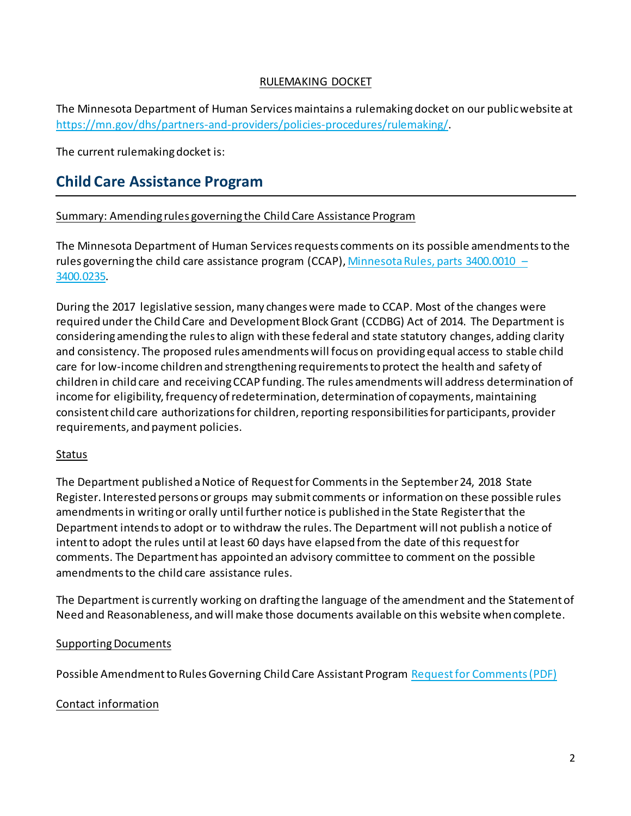#### RULEMAKING DOCKET

The Minnesota Department of Human Services maintains a rulemaking docket on our public website at <https://mn.gov/dhs/partners-and-providers/policies-procedures/rulemaking/>.

The current rulemaking docket is:

## **Child Care Assistance Program**

#### Summary: Amending rules governing the Child Care Assistance Program

The Minnesota Department of Human Services requests comments on its possible amendments to the rules governing the child care assistance program (CCAP)[, Minnesota Rules, parts 3400.0010 –](https://www.revisor.mn.gov/rules/3400/)  [3400.0235.](https://www.revisor.mn.gov/rules/3400/) 

During the 2017 legislative session, many changes were made to CCAP. Most of the changes were required under the Child Care and Development Block Grant (CCDBG) Act of 2014. The Department is considering amending the rules to align with these federal and state statutory changes, adding clarity and consistency. The proposed rules amendments will focus on providing equal access to stable child care for low-income children and strengthening requirements to protect the health and safety of children in child care and receiving CCAP funding. The rules amendments will address determination of income for eligibility, frequency of redetermination, determination of copayments, maintaining consistent child care authorizations for children, reporting responsibilities for participants, provider requirements, and payment policies.

#### **Status**

The Department published a Notice of Request for Comments in the September 24, 2018 State Register. Interested persons or groups may submit comments or information on these possible rules amendments in writing or orally until further notice is published in the State Register that the Department intends to adopt or to withdraw the rules. The Department will not publish a notice of intent to adopt the rules until at least 60 days have elapsed from the date of this request for comments. The Department has appointed an advisory committee to comment on the possible amendments to the child care assistance rules.

The Department is currently working on drafting the language of the amendment and the Statement of Need and Reasonableness, and will make those documents available on this website when complete.

#### Supporting Documents

Possible Amendment to Rules Governing Child Care Assistant Program [Request for Comments \(PDF\)](https://stage.wcm.mnit.mn.gov/dhs/assets/Request-for-comments-CCAP_tcm1053-352434.pdf) 

#### Contact information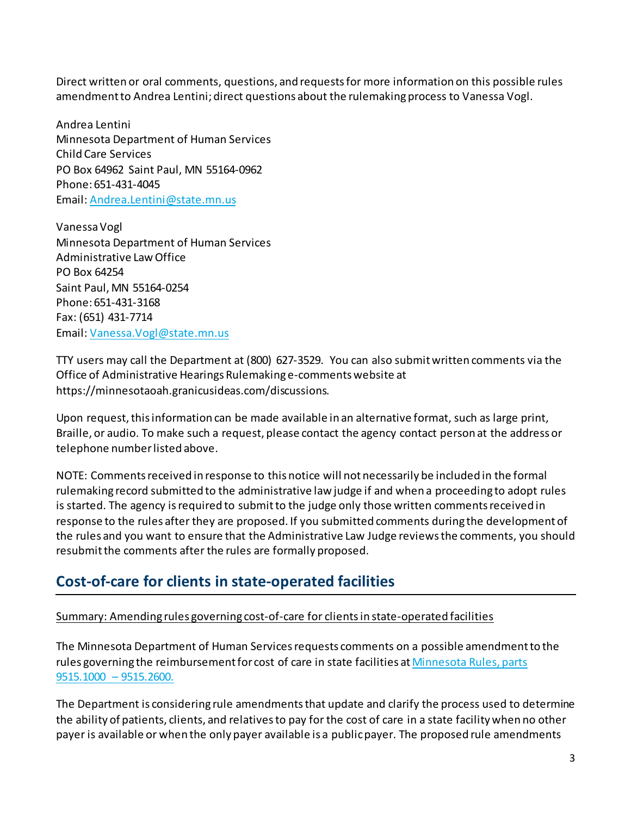Direct written or oral comments, questions, and requests for more information on this possible rules amendment to Andrea Lentini; direct questions about the rulemaking process to Vanessa Vogl.

Andrea Lentini Minnesota Department of Human Services Child Care Services PO Box 64962 Saint Paul, MN 55164-0962 Phone: 651-431-4045 Email[: Andrea.Lentini@state.mn.us](mailto:%20Andrea.Lentini@state.mn.us)

Vanessa Vogl Minnesota Department of Human Services Administrative Law Office PO Box 64254 Saint Paul, MN 55164-0254 Phone: 651-431-3168 Fax: (651) 431-7714 Email[: Vanessa.Vogl@state.mn.us](mailto:%20Vanessa.Vogl@state.mn.us)

TTY users may call the Department at (800) 627-3529. You can also submit written comments via the Office of Administrative Hearings Rulemaking e-comments website at https://minnesotaoah.granicusideas.com/discussions.

Upon request, this information can be made available in an alternative format, such as large print, Braille, or audio. To make such a request, please contact the agency contact person at the address or telephone number listed above.

NOTE: Comments received in response to this notice will not necessarily be included in the formal rulemaking record submitted to the administrative law judge if and when a proceeding to adopt rules is started. The agency is required to submit to the judge only those written comments received in response to the rules after they are proposed. If you submitted comments during the development of the rules and you want to ensure that the Administrative Law Judge reviews the comments, you should resubmit the comments after the rules are formally proposed.

# **Cost-of-care for clients in state-operated facilities**

#### Summary: Amending rules governing cost-of-care for clients in state-operated facilities

The Minnesota Department of Human Services requests comments on a possible amendment to the rules governing the reimbursement for cost of care in state facilities a[t Minnesota Rules, parts](https://www.revisor.mn.gov/rules/9515/full#rule.9515.1000)  [9515.1000 –](https://www.revisor.mn.gov/rules/9515/full#rule.9515.1000) 9515.2600.

The Department is considering rule amendments that update and clarify the process used to determine the ability of patients, clients, and relatives to pay for the cost of care in a state facility when no other payer is available or when the only payer available is a public payer. The proposed rule amendments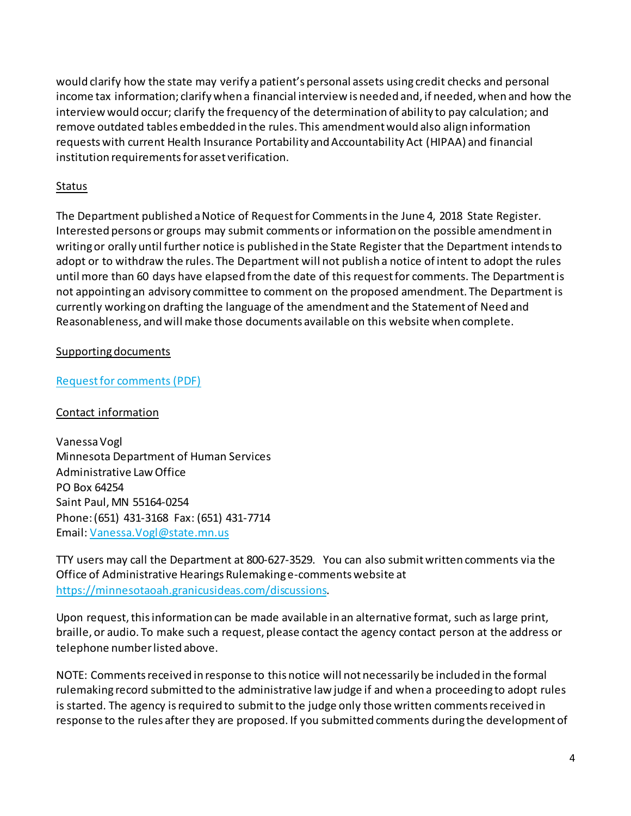would clarify how the state may verify a patient's personal assets using credit checks and personal income tax information; clarify when a financial interview is needed and, if needed, when and how the interview would occur; clarify the frequency of the determination of ability to pay calculation; and remove outdated tables embedded in the rules. This amendment would also align information requests with current Health Insurance Portability and Accountability Act (HIPAA) and financial institution requirements for asset verification.

#### Status

The Department published a Notice of Request for Comments in the June 4, 2018 State Register. Interested persons or groups may submit comments or information on the possible amendment in writing or orally until further notice is published in the State Register that the Department intends to adopt or to withdraw the rules. The Department will not publish a notice of intent to adopt the rules until more than 60 days have elapsed from the date of this request for comments. The Department is not appointing an advisory committee to comment on the proposed amendment. The Department is currently working on drafting the language of the amendment and the Statement of Need and Reasonableness, and will make those documents available on this website when complete.

#### Supporting documents

#### [Request for comments \(PDF\)](https://stage.wcm.mnit.mn.gov/dhs/assets/2018-request-for-comments-cost-of-care-rule_tcm1053-341816.pdf)

#### Contact information

Vanessa Vogl Minnesota Department of Human Services Administrative Law Office PO Box 64254 Saint Paul, MN 55164-0254 Phone: (651) 431-3168 Fax: (651) 431-7714 Email[: Vanessa.Vogl@state.mn.us](mailto:Vanessa.Vogl@state.mn.us)

TTY users may call the Department at 800-627-3529. You can also submit written comments via the Office of Administrative Hearings Rulemaking e-comments website at [https://minnesotaoah.granicusideas.com/discussions.](https://minnesotaoah.granicusideas.com/discussions)

Upon request, this information can be made available in an alternative format, such as large print, braille, or audio. To make such a request, please contact the agency contact person at the address or telephone number listed above.

NOTE: Comments received in response to this notice will not necessarily be included in the formal rulemaking record submitted to the administrative law judge if and when a proceeding to adopt rules is started. The agency is required to submit to the judge only those written comments received in response to the rules after they are proposed. If you submitted comments during the development of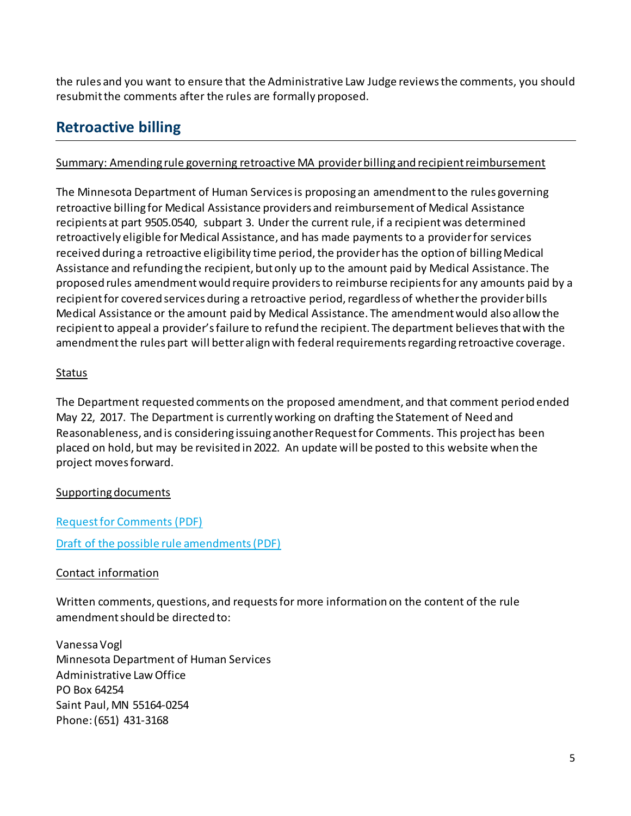the rules and you want to ensure that the Administrative Law Judge reviews the comments, you should resubmit the comments after the rules are formally proposed.

## **Retroactive billing**

#### Summary: Amending rule governing retroactive MA provider billing and recipient reimbursement

The Minnesota Department of Human Services is proposing an amendment to the rules governing retroactive billing for Medical Assistance providers and reimbursement of Medical Assistance recipients at part 9505.0540, subpart 3. Under the current rule, if a recipient was determined retroactively eligible for Medical Assistance, and has made payments to a provider for services received during a retroactive eligibility time period, the provider has the option of billing Medical Assistance and refunding the recipient, but only up to the amount paid by Medical Assistance. The proposed rules amendment would require providers to reimburse recipients for any amounts paid by a recipient for covered services during a retroactive period, regardless of whether the provider bills Medical Assistance or the amount paid by Medical Assistance. The amendment would also allow the recipient to appeal a provider's failure to refund the recipient. The department believes that with the amendment the rules part will better align with federal requirements regarding retroactive coverage.

#### Status

The Department requested comments on the proposed amendment, and that comment period ended May 22, 2017. The Department is currently working on drafting the Statement of Need and Reasonableness, and is considering issuing another Request for Comments. This project has been placed on hold, but may be revisited in 2022. An update will be posted to this website when the project moves forward.

#### Supporting documents

[Request for Comments](https://stage.wcm.mnit.mn.gov/dhs/assets/request-for-comments-possible-amendment-to-rules-governing-retroactive-billing_tcm1053-351935.pdf) (PDF) [Draft of the possible rule amendments \(PDF\)](https://stage.wcm.mnit.mn.gov/dhs/assets/draft-of-possible-amendment-to-rules-governing-retroactive-billing_tcm1053-351934.pdf)

#### Contact information

Written comments, questions, and requests for more information on the content of the rule amendment should be directed to:

Vanessa Vogl Minnesota Department of Human Services Administrative Law Office PO Box 64254 Saint Paul, MN 55164-0254 Phone: (651) 431-3168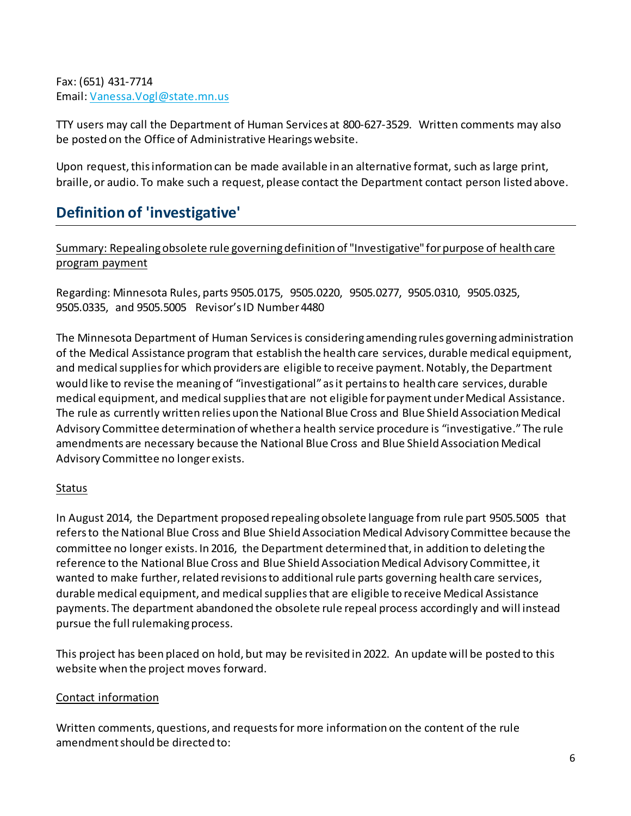Fax: (651) 431-7714 Email[: Vanessa.Vogl@state.mn.us](mailto:Vanessa.Vogl@state.mn.us)

TTY users may call the Department of Human Services at 800-627-3529. Written comments may also be posted on the Office of Administrative Hearings website.

Upon request, this information can be made available in an alternative format, such as large print, braille, or audio. To make such a request, please contact the Department contact person listed above.

# **Definition of 'investigative'**

Summary: Repealing obsolete rule governing definition of "Investigative" for purpose of health care program payment

Regarding: Minnesota Rules, parts 9505.0175, 9505.0220, 9505.0277, 9505.0310, 9505.0325, 9505.0335, and 9505.5005 Revisor's ID Number 4480

The Minnesota Department of Human Services is considering amending rules governing administration of the Medical Assistance program that establish the health care services, durable medical equipment, and medical supplies for which providers are eligible to receive payment. Notably, the Department would like to revise the meaning of "investigational" as it pertains to health care services, durable medical equipment, and medical supplies that are not eligible for payment under Medical Assistance. The rule as currently written relies upon the National Blue Cross and Blue Shield Association Medical Advisory Committee determination of whether a health service procedure is "investigative." The rule amendments are necessary because the National Blue Cross and Blue Shield Association Medical Advisory Committee no longer exists.

#### Status

In August 2014, the Department proposed repealing obsolete language from rule part 9505.5005 that refers to the National Blue Cross and Blue Shield Association Medical Advisory Committee because the committee no longer exists. In 2016, the Department determined that, in addition to deleting the reference to the National Blue Cross and Blue Shield Association Medical Advisory Committee, it wanted to make further, related revisions to additional rule parts governing health care services, durable medical equipment, and medical supplies that are eligible to receive Medical Assistance payments. The department abandoned the obsolete rule repeal process accordingly and will instead pursue the full rulemaking process.

This project has been placed on hold, but may be revisited in 2022. An update will be posted to this website when the project moves forward.

#### Contact information

Written comments, questions, and requests for more information on the content of the rule amendment should be directed to: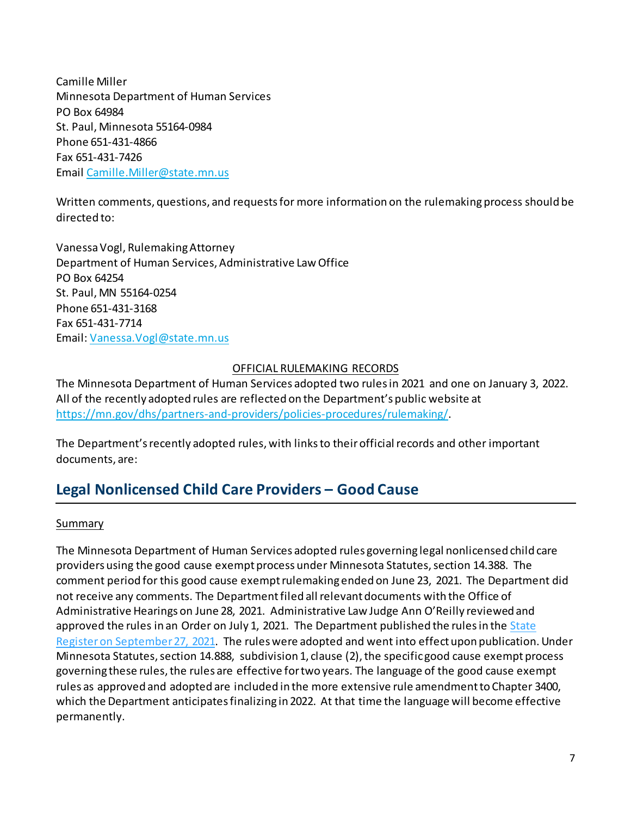Camille Miller Minnesota Department of Human Services PO Box 64984 St. Paul, Minnesota 55164-0984 Phone 651-431-4866 Fax 651-431-7426 Emai[l Camille.Miller@state.mn.us](mailto:Camille.Miller@state.mn.us)

Written comments, questions, and requests for more information on the rulemaking process should be directed to:

Vanessa Vogl, Rulemaking Attorney Department of Human Services, Administrative Law Office PO Box 64254 St. Paul, MN 55164-0254 Phone 651-431-3168 Fax 651-431-7714 Email[: Vanessa.Vogl@state.mn.us](mailto:Vanessa.Vogl@state.mn.us)

#### OFFICIAL RULEMAKING RECORDS

The Minnesota Department of Human Services adopted two rules in 2021 and one on January 3, 2022. All of the recently adopted rules are reflected on the Department's public website at <https://mn.gov/dhs/partners-and-providers/policies-procedures/rulemaking/>.

The Department's recently adopted rules, with links to their official records and other important documents, are:

## **Legal Nonlicensed Child Care Providers – Good Cause**

#### Summary

The Minnesota Department of Human Services adopted rules governing legal nonlicensed child care providers using the good cause exempt process under Minnesota Statutes, section 14.388. The comment period for this good cause exempt rulemaking ended on June 23, 2021. The Department did not receive any comments. The Department filed all relevant documents with the Office of Administrative Hearings on June 28, 2021. Administrative Law Judge Ann O'Reilly reviewed and approved the rules in an Order on July 1, 2021. The Department published the rules in the State [Register on September 27, 2021.](https://mn.gov/admin/assets/SR46_13%20-%20Accessible_tcm36-500455.pdf) The rules were adopted and went into effect upon publication. Under Minnesota Statutes, section 14.888, subdivision 1, clause (2), the specific good cause exempt process governing these rules, the rules are effective for two years. The language of the good cause exempt rules as approved and adopted are included in the more extensive rule amendment to Chapter 3400, which the Department anticipates finalizing in 2022. At that time the language will become effective permanently.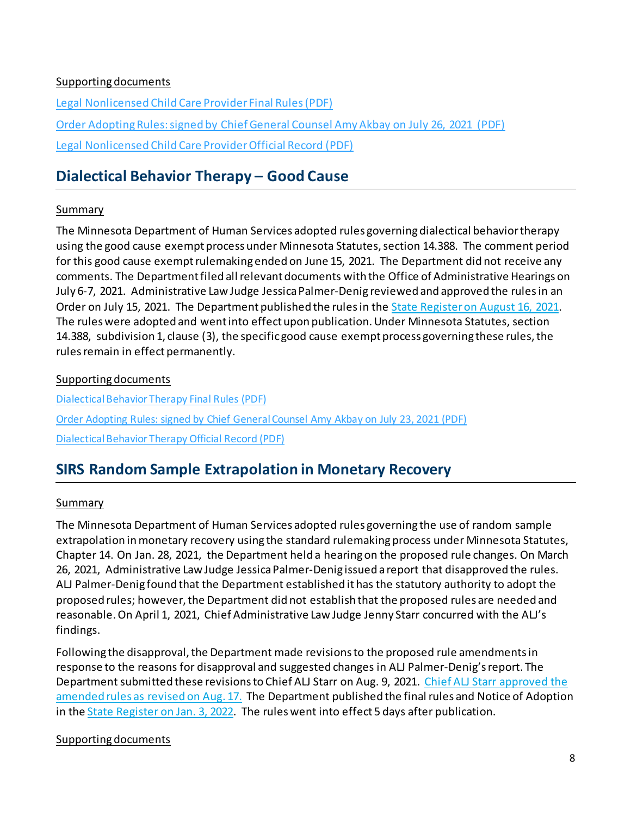#### Supporting documents

[Legal Nonlicensed Child Care Provider Final Rules \(PDF\)](https://mn.gov/dhs/assets/rd-4702-final_tcm1053-514632.pdf) [Order Adopting Rules: signed by Chief General Counsel Amy Akbay on July 26, 2021 \(PDF\)](https://mn.gov/dhs/assets/lnl-order_tcm1053-514624.pdf) [Legal Nonlicensed Child Care Provider Official Record \(PDF\)](https://mn.gov/dhs/assets/oah-lnl-rules-official-record_tcm1053-514626.pdf)

## **Dialectical Behavior Therapy – Good Cause**

#### Summary

The Minnesota Department of Human Services adopted rules governing dialectical behavior therapy using the good cause exempt process under Minnesota Statutes, section 14.388. The comment period for this good cause exempt rulemaking ended on June 15, 2021. The Department did not receive any comments. The Department filed all relevant documents with the Office of Administrative Hearings on July 6-7, 2021. Administrative Law Judge Jessica Palmer-Denig reviewed and approved the rules in an Order on July 15, 2021. The Department published the rules in th[e State Register on August 16, 2021.](https://mn.gov/admin/assets/SR46_7%20-%20Accessible_tcm36-494103.pdf)  The rules were adopted and went into effect upon publication. Under Minnesota Statutes, section 14.388, subdivision 1, clause (3), the specific good cause exempt process governing these rules, the rules remain in effect permanently.

#### Supporting documents

[Dialectical Behavior Therapy Final Rules \(PDF\)](https://mn.gov/dhs/assets/rd-4673-final_tcm1053-514631.pdf) [Order Adopting Rules: signed by Chief General Counsel Amy Akbay on July 23, 2021 \(PDF\)](https://mn.gov/dhs/assets/dbt-order_tcm1053-514622.pdf)  [Dialectical Behavior Therapy Official Record \(PDF\)](https://mn.gov/dhs/assets/oah-dbt-rules-official-record_tcm1053-514625.pdf)

## **SIRS Random Sample Extrapolation in Monetary Recovery**

#### **Summary**

The Minnesota Department of Human Services adopted rules governing the use of random sample extrapolation in monetary recovery using the standard rulemaking process under Minnesota Statutes, Chapter 14. On Jan. 28, 2021, the Department held a hearing on the proposed rule changes. On March 26, 2021, Administrative Law Judge Jessica Palmer-Denig issued a report that disapproved the rules. ALJ Palmer-Denig found that the Department established it has the statutory authority to adopt the proposed rules; however, the Department did not establish that the proposed rules are needed and reasonable.On April 1, 2021, Chief Administrative Law Judge Jenny Starr concurred with the ALJ's findings.

Following the disapproval, the Department made revisions to the proposed rule amendments in response to the reasons for disapproval and suggested changes in ALJ Palmer-Denig's report. The Department submitted these revisions to Chief ALJ Starr on Aug. 9, 2021. [Chief ALJ Starr approved the](https://mn.gov/oah/assets/9029-35836-dhs-random-sample-extrapolation-monetary-recovery-rules-chalj-order-resubmit-approval_tcm19-495687.pdf)  [amended rules as revised on Aug. 17.](https://mn.gov/oah/assets/9029-35836-dhs-random-sample-extrapolation-monetary-recovery-rules-chalj-order-resubmit-approval_tcm19-495687.pdf) The Department published the final rules and Notice of Adoption in the [State Register on Jan. 3, 2022.](https://mn.gov/admin/assets/SR46_27%20-%20Accessible_tcm36-514354.pdf) The rules went into effect 5 days after publication.

#### Supporting documents